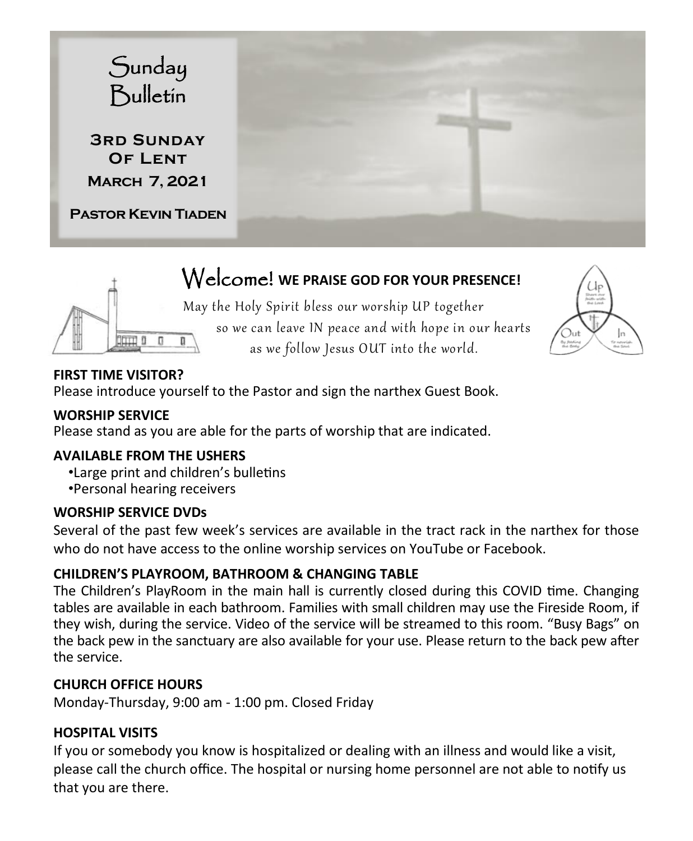

# Welcome! **WE PRAISE GOD FOR YOUR PRESENCE!**

 May the Holy Spirit bless our worship UP together so we can leave IN peace and with hope in our hearts as we follow Jesus OUT into the world.



#### **FIRST TIME VISITOR?**

 $\mathbb{R}$  $\Box$ 

Please introduce yourself to the Pastor and sign the narthex Guest Book.

#### **WORSHIP SERVICE**

Please stand as you are able for the parts of worship that are indicated.

#### **AVAILABLE FROM THE USHERS**

- •Large print and children's bulletins
- •Personal hearing receivers

#### **WORSHIP SERVICE DVDs**

Several of the past few week's services are available in the tract rack in the narthex for those who do not have access to the online worship services on YouTube or Facebook.

#### **CHILDREN'S PLAYROOM, BATHROOM & CHANGING TABLE**

The Children's PlayRoom in the main hall is currently closed during this COVID time. Changing tables are available in each bathroom. Families with small children may use the Fireside Room, if they wish, during the service. Video of the service will be streamed to this room. "Busy Bags" on the back pew in the sanctuary are also available for your use. Please return to the back pew after the service.

#### **CHURCH OFFICE HOURS**

Monday-Thursday, 9:00 am - 1:00 pm. Closed Friday

### **HOSPITAL VISITS**

If you or somebody you know is hospitalized or dealing with an illness and would like a visit, please call the church office. The hospital or nursing home personnel are not able to notify us that you are there.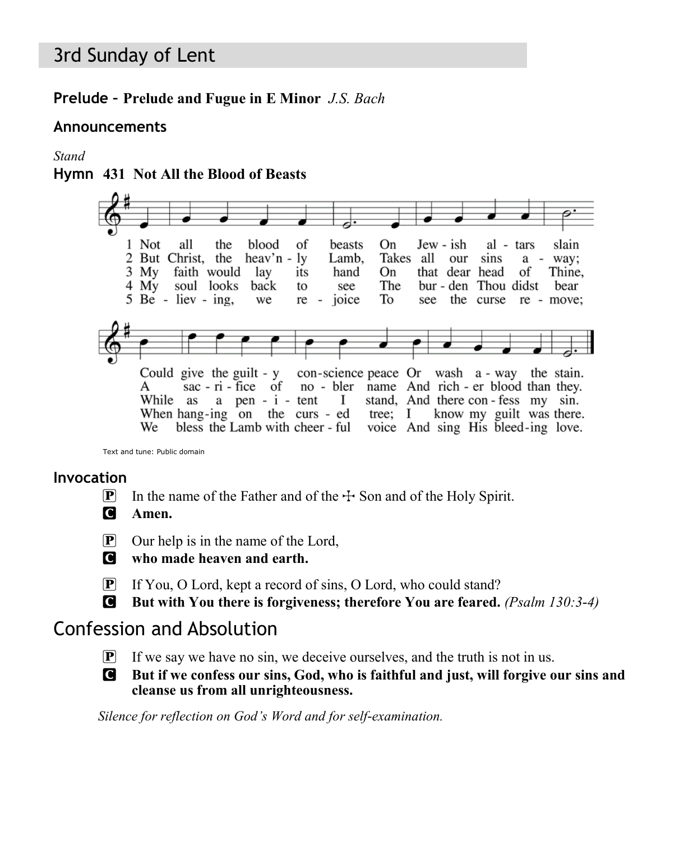# 3rd Sunday of Lent

### **Prelude – Prelude and Fugue in E Minor** *J.S. Bach*

### **Announcements**

#### *Stand*

#### **Hymn 431 Not All the Blood of Beasts**



Text and tune: Public domain

#### **Invocation**

- **P** In the name of the Father and of the  $\pm$  Son and of the Holy Spirit.
- C **Amen.**
- P Our help is in the name of the Lord,
- C **who made heaven and earth.**
- P If You, O Lord, kept a record of sins, O Lord, who could stand?
- C **But with You there is forgiveness; therefore You are feared.** *(Psalm 130:3-4)*

# Confession and Absolution

- $\mathbf{P}$  If we say we have no sin, we deceive ourselves, and the truth is not in us.
- C **But if we confess our sins, God, who is faithful and just, will forgive our sins and cleanse us from all unrighteousness.**

*Silence for reflection on God's Word and for self-examination.*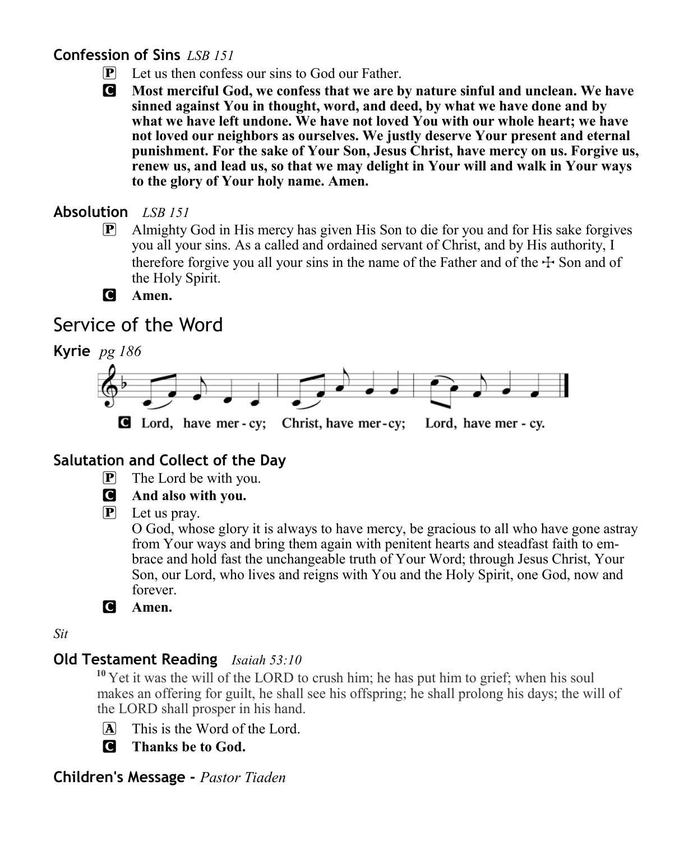# **Confession of Sins** *LSB 151*

 $\left[ \mathbf{P} \right]$  Let us then confess our sins to God our Father.

C **Most merciful God, we confess that we are by nature sinful and unclean. We have sinned against You in thought, word, and deed, by what we have done and by what we have left undone. We have not loved You with our whole heart; we have not loved our neighbors as ourselves. We justly deserve Your present and eternal punishment. For the sake of Your Son, Jesus Christ, have mercy on us. Forgive us, renew us, and lead us, so that we may delight in Your will and walk in Your ways to the glory of Your holy name. Amen.**

### **Absolution** *LSB 151*

P Almighty God in His mercy has given His Son to die for you and for His sake forgives you all your sins. As a called and ordained servant of Christ, and by His authority, I therefore forgive you all your sins in the name of the Father and of the  $\pm$  Son and of the Holy Spirit.

C **Amen.**

# Service of the Word



# **Salutation and Collect of the Day**

 $[P]$  The Lord be with you.

### C **And also with you.**

P Let us pray.

O God, whose glory it is always to have mercy, be gracious to all who have gone astray from Your ways and bring them again with penitent hearts and steadfast faith to embrace and hold fast the unchangeable truth of Your Word; through Jesus Christ, Your Son, our Lord, who lives and reigns with You and the Holy Spirit, one God, now and forever.

C **Amen.**

*Sit*

# **Old Testament Reading** *Isaiah 53:10*

**<sup>10</sup>** Yet it was the will of the LORD to crush him; he has put him to grief; when his soul makes an offering for guilt, he shall see his offspring; he shall prolong his days; the will of the LORD shall prosper in his hand.

- A This is the Word of the Lord.
- C **Thanks be to God.**

# **Children's Message -** *Pastor Tiaden*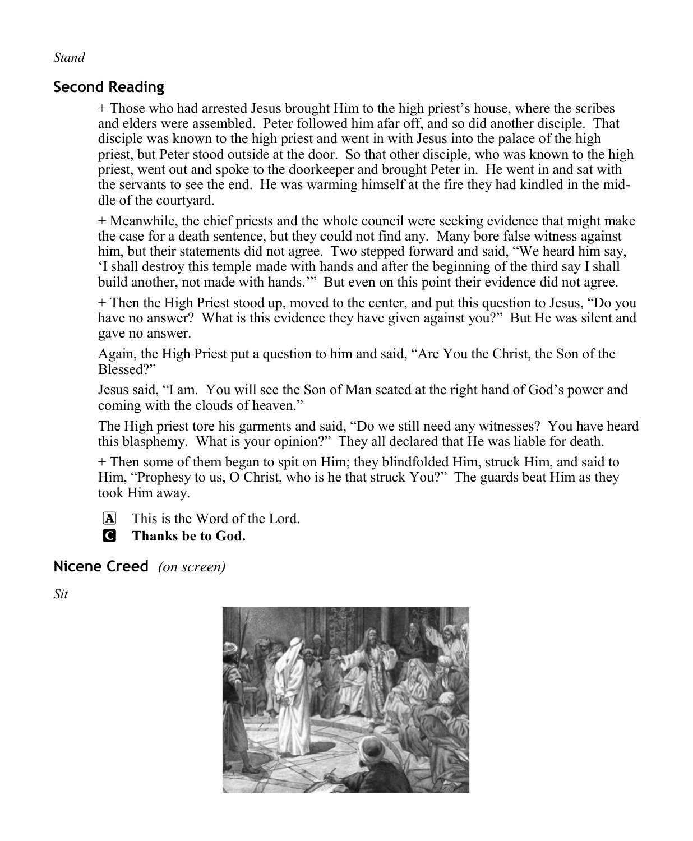# **Second Reading**

+ Those who had arrested Jesus brought Him to the high priest's house, where the scribes and elders were assembled. Peter followed him afar off, and so did another disciple. That disciple was known to the high priest and went in with Jesus into the palace of the high priest, but Peter stood outside at the door. So that other disciple, who was known to the high priest, went out and spoke to the doorkeeper and brought Peter in. He went in and sat with the servants to see the end. He was warming himself at the fire they had kindled in the middle of the courtyard.

+ Meanwhile, the chief priests and the whole council were seeking evidence that might make the case for a death sentence, but they could not find any. Many bore false witness against him, but their statements did not agree. Two stepped forward and said, "We heard him say, 'I shall destroy this temple made with hands and after the beginning of the third say I shall build another, not made with hands.'" But even on this point their evidence did not agree.

+ Then the High Priest stood up, moved to the center, and put this question to Jesus, "Do you have no answer? What is this evidence they have given against you?" But He was silent and gave no answer.

Again, the High Priest put a question to him and said, "Are You the Christ, the Son of the Blessed?"

Jesus said, "I am. You will see the Son of Man seated at the right hand of God's power and coming with the clouds of heaven."

The High priest tore his garments and said, "Do we still need any witnesses? You have heard this blasphemy. What is your opinion?" They all declared that He was liable for death.

+ Then some of them began to spit on Him; they blindfolded Him, struck Him, and said to Him, "Prophesy to us, O Christ, who is he that struck You?" The guards beat Him as they took Him away.

A This is the Word of the Lord.

C **Thanks be to God.**

**Nicene Creed** *(on screen)*

*Sit*



#### *Stand*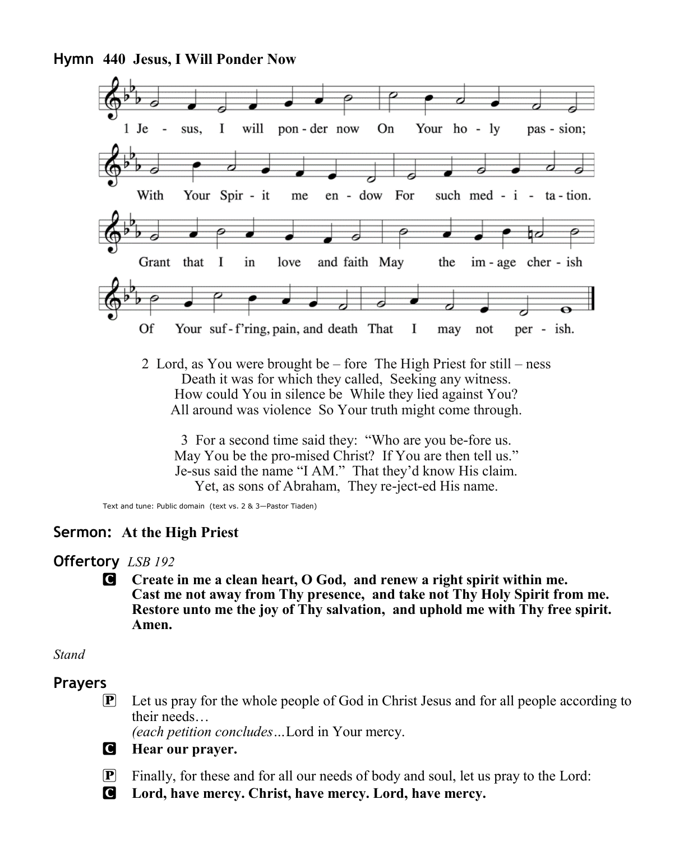**Hymn 440 Jesus, I Will Ponder Now**



2 Lord, as You were brought be – fore The High Priest for still – ness Death it was for which they called, Seeking any witness. How could You in silence be While they lied against You? All around was violence So Your truth might come through.

3 For a second time said they: "Who are you be-fore us. May You be the pro-mised Christ? If You are then tell us." Je-sus said the name "I AM." That they'd know His claim. Yet, as sons of Abraham, They re-ject-ed His name.

Text and tune: Public domain (text vs. 2 & 3—Pastor Tiaden)

#### **Sermon: At the High Priest**

#### **Offertory** *LSB 192*

C **Create in me a clean heart, O God, and renew a right spirit within me. Cast me not away from Thy presence, and take not Thy Holy Spirit from me. Restore unto me the joy of Thy salvation, and uphold me with Thy free spirit. Amen.**

*Stand*

#### **Prayers**

 $\boxed{\mathbf{P}}$  Let us pray for the whole people of God in Christ Jesus and for all people according to their needs…

*(each petition concludes…*Lord in Your mercy.

- C **Hear our prayer.**
- $\mathbf{P}$  Finally, for these and for all our needs of body and soul, let us pray to the Lord:
- C **Lord, have mercy. Christ, have mercy. Lord, have mercy.**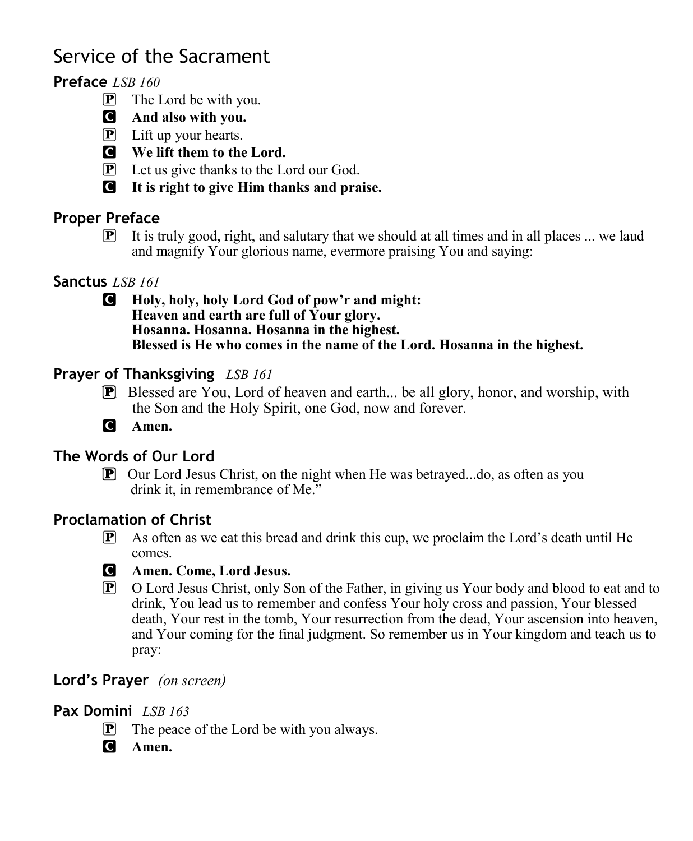# Service of the Sacrament

# **Preface** *LSB 160*

- $\overline{P}$  The Lord be with you.
- C **And also with you.**
- P Lift up your hearts.
- C **We lift them to the Lord.**
- P Let us give thanks to the Lord our God.
- C **It is right to give Him thanks and praise.**

# **Proper Preface**

 $\mathbb{P}$  It is truly good, right, and salutary that we should at all times and in all places ... we laud and magnify Your glorious name, evermore praising You and saying:

# **Sanctus** *LSB 161*

C **Holy, holy, holy Lord God of pow'r and might: Heaven and earth are full of Your glory. Hosanna. Hosanna. Hosanna in the highest. Blessed is He who comes in the name of the Lord. Hosanna in the highest.**

### **Prayer of Thanksgiving** *LSB 161*

- P Blessed are You, Lord of heaven and earth... be all glory, honor, and worship, with the Son and the Holy Spirit, one God, now and forever.
- C **Amen.**

# **The Words of Our Lord**

 $\mathbf{P}$  Our Lord Jesus Christ, on the night when He was betrayed...do, as often as you drink it, in remembrance of Me."

# **Proclamation of Christ**

P As often as we eat this bread and drink this cup, we proclaim the Lord's death until He comes.



- C **Amen. Come, Lord Jesus.**
- P O Lord Jesus Christ, only Son of the Father, in giving us Your body and blood to eat and to drink, You lead us to remember and confess Your holy cross and passion, Your blessed death, Your rest in the tomb, Your resurrection from the dead, Your ascension into heaven, and Your coming for the final judgment. So remember us in Your kingdom and teach us to pray:

# **Lord's Prayer** *(on screen)*

# **Pax Domini** *LSB 163*

- $\left[ \mathbf{P} \right]$  The peace of the Lord be with you always.
- C **Amen.**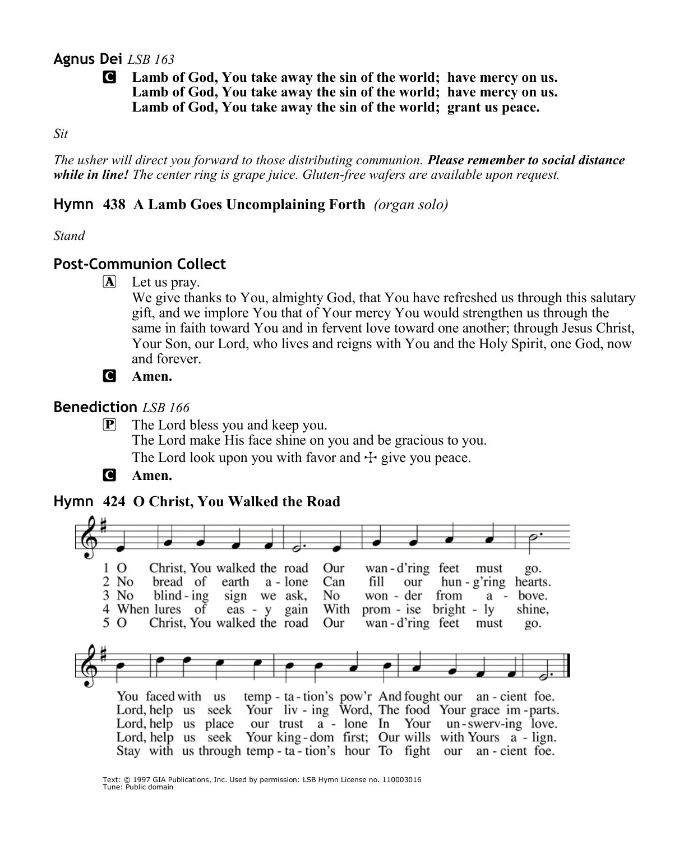### **Agnus Dei** *LSB 163*

#### C **Lamb of God, You take away the sin of the world; have mercy on us. Lamb of God, You take away the sin of the world; have mercy on us. Lamb of God, You take away the sin of the world; grant us peace.**

*Sit*

*The usher will direct you forward to those distributing communion. Please remember to social distance while in line! The center ring is grape juice. Gluten-free wafers are available upon request.*

#### **Hymn 438 A Lamb Goes Uncomplaining Forth** *(organ solo)*

*Stand*

#### **Post-Communion Collect**

 $\overline{A}$  Let us pray.

We give thanks to You, almighty God, that You have refreshed us through this salutary gift, and we implore You that of Your mercy You would strengthen us through the same in faith toward You and in fervent love toward one another; through Jesus Christ, Your Son, our Lord, who lives and reigns with You and the Holy Spirit, one God, now and forever.



#### **Benediction** *LSB 166*

P The Lord bless you and keep you. The Lord make His face shine on you and be gracious to you. The Lord look upon you with favor and  $\pm$  give you peace.

C **Amen.**

#### **Hymn 424 O Christ, You Walked the Road**

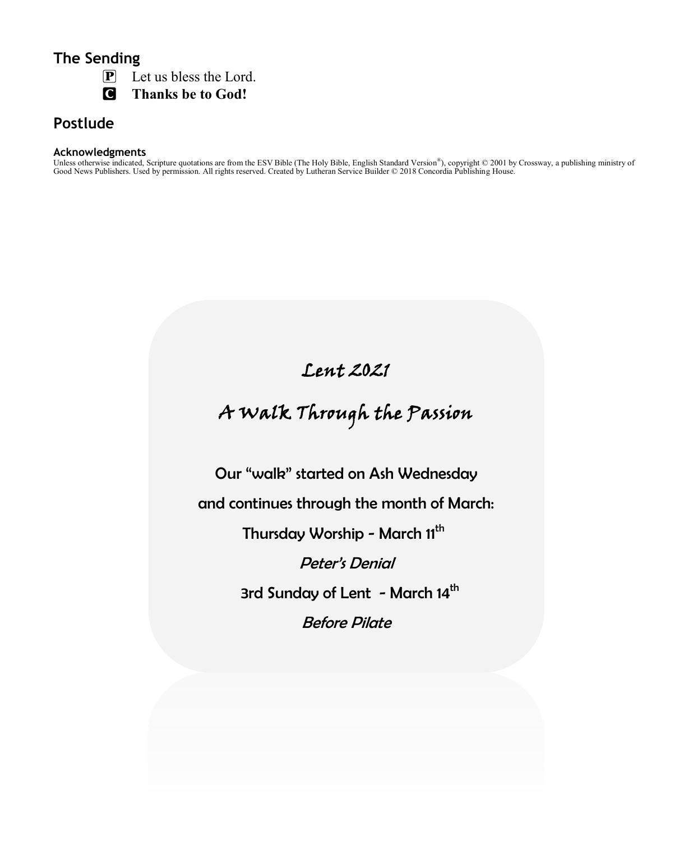# **The Sending**

 $\overline{P}$  Let us bless the Lord.

C **Thanks be to God!**

# **Postlude**

#### **Acknowledgments**

Unless otherwise indicated, Scripture quotations are from the ESV Bible (The Holy Bible, English Standard Version®), copyright © 2001 by Crossway, a publishing ministry of<br>Good News Publishers. Used by permission. All righ

# Lent 2021

# A Walk Through the Passion

Our "walk" started on Ash Wednesday

and continues through the month of March:

Thursday Worship - March 11<sup>th</sup>

Peter's Denial

**3rd Sunday of Lent - March 14<sup>th</sup>** 

Before Pilate